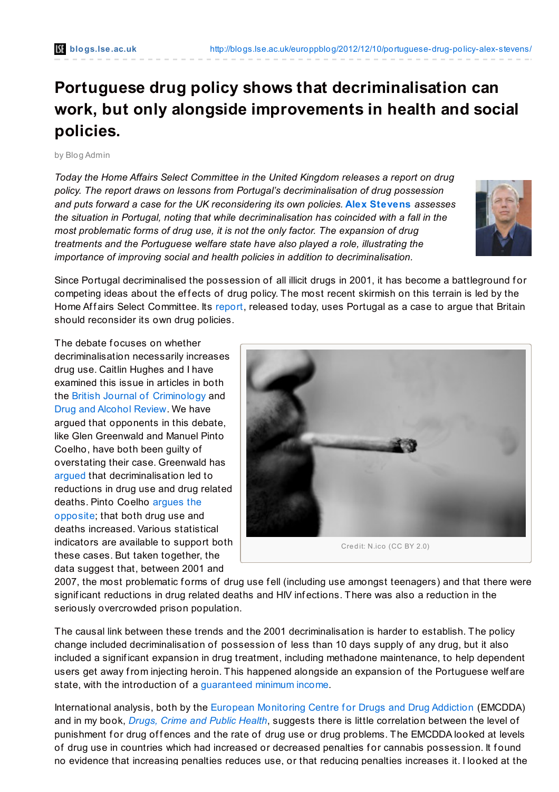## **Portuguese drug policy shows that decriminalisation can work, but only alongside improvements in health and social policies.**

## by Blog Admin

*Today the Home Affairs Select Committee in the United Kingdom releases a report on drug policy. The report draws on lessons from Portugal's decriminalisation of drug possession and puts forward a case for the UK reconsidering its own policies.* **Alex [Stevens](http://wp.me/p2MmSR-2nU#Author)** *assesses the situation in Portugal, noting that while decriminalisation has coincided with a fall in the most problematic forms of drug use, it is not the only factor. The expansion of drug treatments and the Portuguese welfare state have also played a role, illustrating the importance of improving social and health policies in addition to decriminalisation.*



Since Portugal decriminalised the possession of all illicit drugs in 2001, it has become a battleground for competing ideas about the effects of drug policy. The most recent skirmish on this terrain is led by the Home Affairs Select Committee. Its [report](http://www.publications.parliament.uk/pa/cm201213/cmselect/cmhaff/184/18402.htm), released today, uses Portugal as a case to argue that Britain should reconsider its own drug policies.

The debate focuses on whether decriminalisation necessarily increases drug use. Caitlin Hughes and I have examined this issue in articles in both the British Journal of [Criminology](http://bjc.oxfordjournals.org/content/50/6/999.abstract) and Drug and [Alcohol](http://onlinelibrary.wiley.com/doi/10.1111/j.1465-3362.2011.00383.x/pdf) Review. We have argued that opponents in this debate, like Glen Greenwald and Manuel Pinto Coelho, have both been guilty of overstating their case. Greenwald has [argued](http://www.cato.org/publications/white-paper/drug-decriminalization-portugal-lessons-creating-fair-successful-drug-policies) that decriminalisation led to reductions in drug use and drug related deaths. Pinto Coelho argues the [opposite;](http://drugprevent.org.uk/ppp/2011/01/the-%E2%80%9Cresounding-success%E2%80%9D-of-portuguese-drug-policy/) that both drug use and deaths increased. Various statistical indicators are available to support both these cases. But taken together, the data suggest that, between 2001 and



2007, the most problematic forms of drug use fell (including use amongst teenagers) and that there were signif icant reductions in drug related deaths and HIV inf ections. There was also a reduction in the seriously overcrowded prison population.

The causal link between these trends and the 2001 decriminalisation is harder to establish. The policy change included decriminalisation of possession of less than 10 days supply of any drug, but it also included a signif icant expansion in drug treatment, including methadone maintenance, to help dependent users get away from injecting heroin. This happened alongside an expansion of the Portuguese welf are state, with the introduction of a [guaranteed](http://ideas.repec.org/p/ise/isegwp/wp92004.html#author) minimum income.

International analysis, both by the European [Monitoring](http://www.emcdda.europa.eu/about) Centre for Drugs and Drug Addiction (EMCDDA) and in my book, *[Drugs,](http://www.routledge.com/books/details/9780415491044/) Crime and Public Health*, suggests there is little correlation between the level of punishment for drug offences and the rate of drug use or drug problems. The EMCDDA looked at levels of drug use in countries which had increased or decreased penalties f or cannabis possession. It f ound no evidence that increasing penalties reduces use, or that reducing penalties increases it. I looked at the